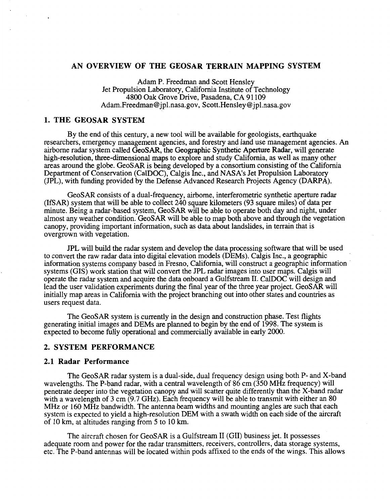## **AN OVERVIEW OF THE GEOSAR TERRAIN MAPPING SYSTEM**

Adam P. Freedman and Scott Hensley Jet Propulsion Laboratory, California Institute of Technology **4800** Oak Grove Drive, Pasadena, CA 91 109 [Adam.Freedman@jpl.nasa.gov,](mailto:Adam.Freedman@jpl.nasa.gov) [Scott.Hensley@jpl.nasa.gov](mailto:Scott.Hensley@jpl.nasa.gov)

# **1. THE GEOSAR SYSTEM**

By the end of this century, a new tool will be available for geologists, earthquake researchers, emergency management agencies, and forestry and land use management agencies. An airborne radar system called *GeoSAR,* the Geographic Synthetic Aperture Radar, will generate high-resolution, three-dimensional maps to explore and study California, as well as many other areas around the globe. GeoSAR is being developed by a consortium consisting of the California Department of Conservation (CalDOC), Calgis Inc., and **NASA's** Jet Propulsion Laboratory (JPL), with funding provided by the Defense Advanced Research Projects Agency (DARPA).

GeoSAR consists of a dual-frequency, airborne, interferometric synthetic aperture radar (IRAR) system that will be able to collect **240** square kilometers (93 square miles) of data per minute. Being a radar-based system, GeoSAR will be able **to** operate both day and night, under almost any weather condition. GeoSAR will be able to map both above and through the vegetation canopy, providing important information, such as data about landslides, in terrain that is overgrown with vegetation.

PL will build the radar system and develop the data processing software that will be used to convert the raw radar data into digital elevation models (DEMs). Calgis Inc., a geographic information systems company based in Fresno, California, will construct a geographic information systems (GIS) work station that will convert the JPL radar images into user maps. Calgis will operate the radar system and acquire the data onboard a Gulfstream II.CalDOC will design and lead the user validation experiments during the final year of the three year project. GeoSAR will initially map areas in California with the project branching out into other states and countries as users request data.

The GeoSAR system is currently in the design and construction phase. Test flights generating initial images and DEMs are planned to begin by the end of 1998. The system is expected to become fully operational and commercially available in early 2000.

## **2. SYSTEM PERFORMANCE**

#### **2.1 Radar Performance**

The GeoSAR radar system is a dual-side, dual frequency design using both P- and X-band wavelengths. The P-band radar, with a central wavelength of**86** cm (350 MHz frequency) will penetrate deeper into the vegetation canopy and will scatter quite differently than the X-band radar with a wavelength of **3** cm (9.7 GHz). Each frequency will be able to transmit with either an 80 MHz or 160 MHz bandwidth. The antenna beam widths and mounting angles are such that each system is expected to yield a high-resolution DEM with a swath width on each side of the aircraft of 10 km, at altitudes ranging from 5 to 10 km.

The aircraft chosen for GeoSAR is a Gulfstream I1 (GII) business jet. It possesses adequate room and power for the radar transmitters, receivers, controllers, data storage systems, etc. The P-band antennas will be located within pods affixed to the ends of the wings. This allows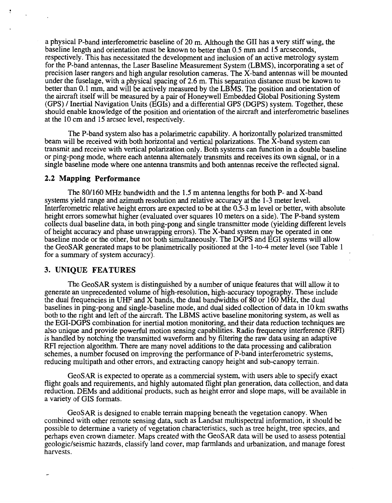a physical P-band interferometric baseline of 20 m. Although the GI1 has a very stiff wing, the baseline length and orientation must be known to better than 0.5 mm and 15 arcseconds, respectively. This has necessitated the development and inclusion of an active metrology system for the P-band antennas, the Laser Baseline Measurement System (LBMS), incorporating a set of precision laser rangers and high angular resolution cameras. The X-band antennas will be mounted under the fuselage, with a physical spacing of *2.6* m. This separation distance must be known to better than 0.1 mm, and will be actively measured by the LBMS. The position and orientation of the aircraft itself will be measured by a pair of Honeywell Embedded Global Positioning System (GPS) / Inertial Navigation Units (EGIS) and a differential GPS (DGPS) system. Together, these should enable knowledge of the position and orientation of the aircraft and interferometric baselines at the 10 cm and 15 arcsec level, respectively.

The P-band system also has a polarimetric capability. **A** horizontally polarized transmitted beam will be received with both horizontal and vertical polarizations. The X-band system can transmit and receive with vertical polarization only. Both systems can function in a double baseline or ping-pong mode, where each antenna alternately transmits and receives itown signal, or in a single baseline mode where one antenna transmits and both antennas receive the reflected signal.

#### **2.2 Mapping Performance**

The 80/160 MHz bandwidth and the 1.5 m antenna lengths for both P- and X-band systems yield range and azimuth resolution and relative accuracy at the 1-3 meter level. Interferometric relative height errors are expected to be at the 0.5-3 m level or better, with absolute height errors somewhat higher (evaluated over squares 10 meters on a side). The P-band system collects dual baseline data, in both ping-pong and single transmitter mode (yielding different levels of height accuracy and phase unwrapping errors). The X-band system may be operated in one baseline mode or the other, but not both simultaneously. The DGPS and EGI systems will allow the GeoSAR generated maps to be planimetrically positioned at the 1-to-4 meter level (see [Table 1](#page-2-0) for a summary of system accuracy).

## **3. UNIQUE FEATURES**

The GeoSAR system is distinguished by a number of unique features that will allow it to generate an unprecedented volume of high-resolution, high-accuracy topography. These include the dual frequencies in UHF and X bands, the dual bandwidths of 80 or 160 MHz, the dual baselines in ping-pong and single-baseline mode, and dual sided collection of data in 10 km swaths both to the right and left of the aircraft. The LBMS active baseline monitoring system, as well as the EGI-DGPS combination for inertial motion monitoring, and their data reduction techniques are also unique and provide powerful motion sensing capabilities. Radio frequency interference (RFI) is handled by notching the transmitted waveform and by filtering the raw data using an adaptive RFI rejection algorithm. There are many novel additions to the data processing and calibration schemes, a number focused on improving the performance of P-band interferometric systems, reducing multipath and other errors, and extracting canopy height and sub-canopy terrain.

GeoSAR is expected to operate as a commercial system, with users able to specify exact flight goals and requirements, and highly automated flight plan generation, data collection, and data reduction. DEMs and additional products, such as height error and slope maps, will be available in a variety of GIS formats.

GeoSAR is designed to enable terrain mapping beneath the vegetation canopy. When combined with other remote sensing data, such as Landsat multispectral information, it should be possible to determine a variety of vegetation characteristics, such as tree height, tree species, and perhaps even crown diameter. Maps created with the GeoSAR data will be used to assess potential geologic/seismic hazards, classify land cover, map farmlands and urbanization, and manage forest harvests.